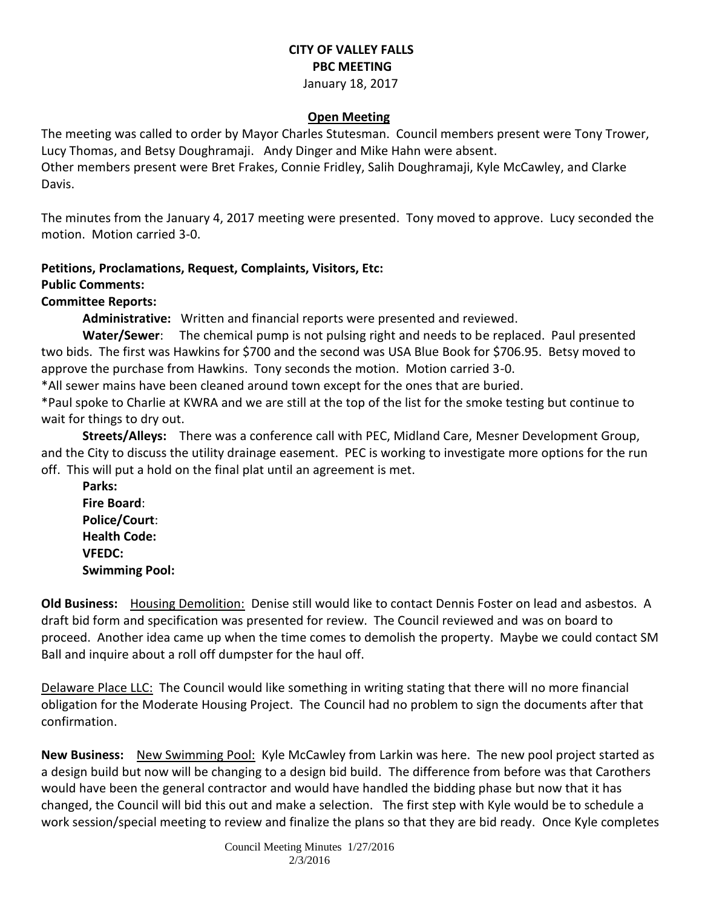### **CITY OF VALLEY FALLS PBC MEETING** January 18, 2017

# **Open Meeting**

The meeting was called to order by Mayor Charles Stutesman. Council members present were Tony Trower, Lucy Thomas, and Betsy Doughramaji. Andy Dinger and Mike Hahn were absent.

Other members present were Bret Frakes, Connie Fridley, Salih Doughramaji, Kyle McCawley, and Clarke Davis.

The minutes from the January 4, 2017 meeting were presented. Tony moved to approve. Lucy seconded the motion. Motion carried 3-0.

## **Petitions, Proclamations, Request, Complaints, Visitors, Etc:**

### **Public Comments:**

### **Committee Reports:**

**Administrative:** Written and financial reports were presented and reviewed.

**Water/Sewer**: The chemical pump is not pulsing right and needs to be replaced. Paul presented two bids. The first was Hawkins for \$700 and the second was USA Blue Book for \$706.95. Betsy moved to approve the purchase from Hawkins. Tony seconds the motion. Motion carried 3-0.

\*All sewer mains have been cleaned around town except for the ones that are buried.

\*Paul spoke to Charlie at KWRA and we are still at the top of the list for the smoke testing but continue to wait for things to dry out.

**Streets/Alleys:** There was a conference call with PEC, Midland Care, Mesner Development Group, and the City to discuss the utility drainage easement. PEC is working to investigate more options for the run off. This will put a hold on the final plat until an agreement is met.

**Parks: Fire Board**: **Police/Court**: **Health Code: VFEDC: Swimming Pool:** 

**Old Business:** Housing Demolition: Denise still would like to contact Dennis Foster on lead and asbestos. A draft bid form and specification was presented for review. The Council reviewed and was on board to proceed. Another idea came up when the time comes to demolish the property. Maybe we could contact SM Ball and inquire about a roll off dumpster for the haul off.

Delaware Place LLC: The Council would like something in writing stating that there will no more financial obligation for the Moderate Housing Project. The Council had no problem to sign the documents after that confirmation.

**New Business:** New Swimming Pool: Kyle McCawley from Larkin was here. The new pool project started as a design build but now will be changing to a design bid build. The difference from before was that Carothers would have been the general contractor and would have handled the bidding phase but now that it has changed, the Council will bid this out and make a selection. The first step with Kyle would be to schedule a work session/special meeting to review and finalize the plans so that they are bid ready. Once Kyle completes